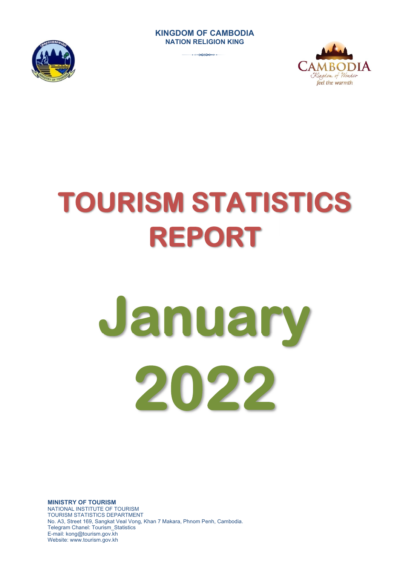#### **KINGDOM OF CAMBODIA NATION RELIGION KING**







# **TOURISM STATISTICS REPORT**

# **January 2022**

**MINISTRY OF TOURISM**  NATIONAL INSTITUTE OF TOURISM TOURISM STATISTICS DEPARTMENT No. A3, Street 169, Sangkat Veal Vong, Khan 7 Makara, Phnom Penh, Cambodia. Telegram Chanel: Tourism\_Statistics E-mail: kong@tourism.gov.kh Website: www.tourism.gov.kh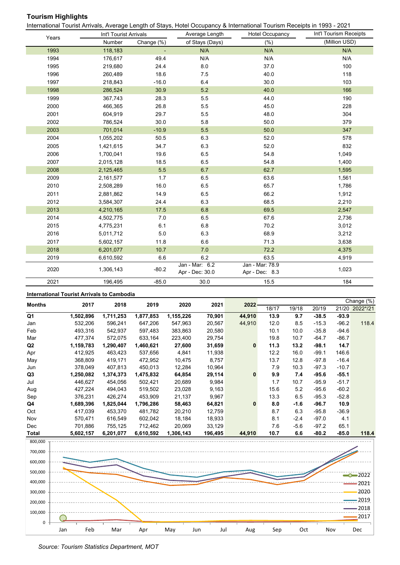# **Tourism Highlights**

International Tourist Arrivals, Average Length of Stays, Hotel Occupancy & International Tourism Receipts in 1993 - 2021

|       | Int'l Tourist Arrivals |            | Average Length                    | <b>Hotel Occupancy</b>            | Int'l Tourism Receipts |
|-------|------------------------|------------|-----------------------------------|-----------------------------------|------------------------|
| Years | Number                 | Change (%) | of Stays (Days)                   | (% )                              | (Million USD)          |
| 1993  | 118,183                |            | N/A                               | N/A                               | N/A                    |
| 1994  | 176,617                | 49.4       | N/A                               | N/A                               | N/A                    |
| 1995  | 219,680                | 24.4       | 8.0                               | 37.0                              | 100                    |
| 1996  | 260,489                | 18.6       | 7.5                               | 40.0                              | 118                    |
| 1997  | 218,843                | $-16.0$    | 6.4                               | 30.0                              | 103                    |
| 1998  | 286,524                | 30.9       | $5.2$                             | 40.0                              | 166                    |
| 1999  | 367,743                | 28.3       | 5.5                               | 44.0                              | 190                    |
| 2000  | 466,365                | 26.8       | 5.5                               | 45.0                              | 228                    |
| 2001  | 604,919                | 29.7       | 5.5                               | 48.0                              | 304                    |
| 2002  | 786,524                | 30.0       | 5.8                               | 50.0                              | 379                    |
| 2003  | 701,014                | $-10.9$    | 5.5                               | 50.0                              | 347                    |
| 2004  | 1,055,202              | 50.5       | 6.3                               | 52.0                              | 578                    |
| 2005  | 1,421,615              | 34.7       | 6.3                               | 52.0                              | 832                    |
| 2006  | 1,700,041              | 19.6       | 6.5                               | 54.8                              | 1,049                  |
| 2007  | 2,015,128              | 18.5       | 6.5                               | 54.8                              | 1,400                  |
| 2008  | 2,125,465              | 5.5        | 6.7                               | 62.7                              | 1,595                  |
| 2009  | 2,161,577              | 1.7        | 6.5                               | 63.6                              | 1,561                  |
| 2010  | 2,508,289              | 16.0       | 6.5                               | 65.7                              | 1,786                  |
| 2011  | 2,881,862              | 14.9       | 6.5                               | 66.2                              | 1,912                  |
| 2012  | 3,584,307              | 24.4       | 6.3                               | 68.5                              | 2,210                  |
| 2013  | 4,210,165              | 17.5       | 6.8                               | 69.5                              | 2,547                  |
| 2014  | 4,502,775              | 7.0        | 6.5                               | 67.6                              | 2,736                  |
| 2015  | 4,775,231              | 6.1        | 6.8                               | 70.2                              | 3,012                  |
| 2016  | 5,011,712              | 5.0        | 6.3                               | 68.9                              | 3,212                  |
| 2017  | 5,602,157              | 11.8       | 6.6                               | 71.3                              | 3,638                  |
| 2018  | 6,201,077              | 10.7       | 7.0                               | 72.2                              | 4,375                  |
| 2019  | 6,610,592              | 6.6        | 6.2                               | 63.5                              | 4,919                  |
| 2020  | 1,306,143              | $-80.2$    | Jan - Mar: 6.2<br>Apr - Dec: 30.0 | Jan - Mar: 78.9<br>Apr - Dec: 8.3 | 1,023                  |
| 2021  | 196,495                | $-85.0$    | 30.0                              | 15.5                              | 184                    |

#### **International Tourist Arrivals to Cambodia**

| <b>Months</b>  | 2017        | 2018      | 2019      | 2020           | 2021        | 2022          |      |        |         |                  | Change (%)   |  |                |
|----------------|-------------|-----------|-----------|----------------|-------------|---------------|------|--------|---------|------------------|--------------|--|----------------|
|                |             |           |           |                |             |               |      |        | 18/17   | 19/18            | 20/19        |  | 21/20 2022*/21 |
| Q1             | 1,502,896   | 1,711,253 | 1,877,853 | 1,155,226      | 70,901      | 44,910        | 13.9 | 9.7    | $-38.5$ | -93.9            |              |  |                |
| Jan            | 532,206     | 596,241   | 647,206   | 547,963        | 20,567      | 44,910        | 12.0 | 8.5    | $-15.3$ | $-96.2$          | 118.4        |  |                |
| Feb            | 493,316     | 542,937   | 597.483   | 383,863        | 20,580      |               | 10.1 | 10.0   | $-35.8$ | $-94.6$          |              |  |                |
| Mar            | 477,374     | 572,075   | 633,164   | 223,400        | 29,754      |               | 19.8 | 10.7   | -64.7   | $-86.7$          |              |  |                |
| Q2             | 1,159,783   | 1,290,407 | 1,460,621 | 27,600         | 31,659      | $\mathbf{0}$  | 11.3 | 13.2   | -98.1   | 14.7             |              |  |                |
| Apr            | 412,925     | 463,423   | 537,656   | 4,841          | 11,938      |               | 12.2 | 16.0   | -99.1   | 146.6            |              |  |                |
| May            | 368.809     | 419,171   | 472,952   | 10,475         | 8,757       |               | 13.7 | 12.8   | $-97.8$ | $-16.4$          |              |  |                |
| Jun            | 378,049     | 407,813   | 450,013   | 12,284         | 10,964      |               | 7.9  | 10.3   | -97.3   | $-10.7$          |              |  |                |
| Q3             | 1,250,082   | 1,374,373 | 1,475,832 | 64,854         | 29,114      | $\bf{0}$      | 9.9  | 7.4    | $-95.6$ | $-55.1$          |              |  |                |
| Jul            | 446.627     | 454,056   | 502,421   | 20,689         | 9,984       |               | 1.7  | 10.7   | $-95.9$ | $-51.7$          |              |  |                |
| Aug            | 427,224     | 494,043   | 519,502   | 23,028         | 9,163       |               | 15.6 | 5.2    | -95.6   | $-60.2$          |              |  |                |
| Sep            | 376,231     | 426,274   | 453,909   | 21,137         | 9,967       |               | 13.3 | 6.5    | $-95.3$ | $-52.8$          |              |  |                |
| Q4             | 1,689,396   | 1,825,044 | 1,796,286 | 58,463         | 64,821      | 0             | 8.0  | $-1.6$ | $-96.7$ | 10.9             |              |  |                |
| Oct            | 417,039     | 453,370   | 481,782   | 20,210         | 12,759      |               | 8.7  | 6.3    | $-95.8$ | $-36.9$          |              |  |                |
| Nov            | 570,471     | 616,549   | 602,042   | 18,184         | 18,933      |               | 8.1  | $-2.4$ | $-97.0$ | 4.1              |              |  |                |
| Dec            | 701.886     | 755,125   | 712,462   | 20,069         | 33,129      |               | 7.6  | $-5.6$ | $-97.2$ | 65.1             |              |  |                |
| T <sub>1</sub> | E CAN 4 E 7 | C 904 077 | C CAN ENN | <b>200.442</b> | $AOC$ $AOC$ | <b>AA 040</b> | 407  | c c    | 000     | 0.5 <sub>n</sub> | <b>AAO A</b> |  |                |

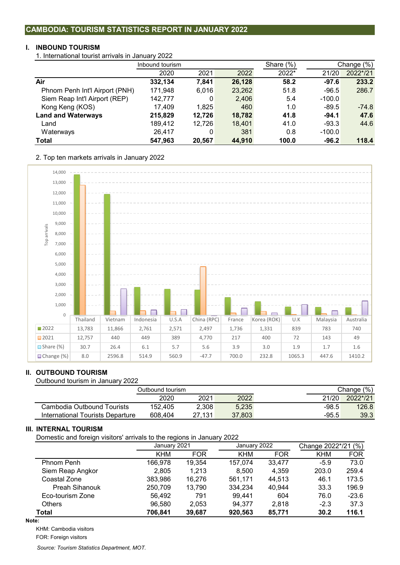### **CAMBODIA: TOURISM STATISTICS REPORT IN JANUARY 2022**

#### **I. INBOUND TOURISM**

1. International tourist arrivals in January 2022

|                                | Inbound tourism |        |        | Share $(\%)$ |          | Change (%) |
|--------------------------------|-----------------|--------|--------|--------------|----------|------------|
|                                | 2020            | 2021   | 2022   | 2022*        | 21/20    | 2022*/21   |
| Air                            | 332,134         | 7,841  | 26,128 | 58.2         | $-97.6$  | 233.2      |
| Phnom Penh Int'l Airport (PNH) | 171,948         | 6.016  | 23,262 | 51.8         | $-96.5$  | 286.7      |
| Siem Reap Int'l Airport (REP)  | 142,777         | 0      | 2,406  | 5.4          | $-100.0$ |            |
| Kong Keng (KOS)                | 17,409          | 1,825  | 460    | 1.0          | $-89.5$  | $-74.8$    |
| <b>Land and Waterways</b>      | 215,829         | 12,726 | 18,782 | 41.8         | $-94.1$  | 47.6       |
| Land                           | 189,412         | 12,726 | 18,401 | 41.0         | $-93.3$  | 44.6       |
| Waterways                      | 26,417          | 0      | 381    | 0.8          | $-100.0$ |            |
| <b>Total</b>                   | 547,963         | 20,567 | 44,910 | 100.0        | $-96.2$  | 118.4      |
|                                |                 |        |        |              |          |            |

2. Top ten markets arrivals in January 2022



# **II. OUTBOUND TOURISM**

Outbound tourism in January 2022

|                                  | Outbound tourism |        |        |         | Change (%) |  |
|----------------------------------|------------------|--------|--------|---------|------------|--|
|                                  | 2020             | 2021   | 2022   | 21/20   | 2022*/21   |  |
| Cambodia Outbound Tourists       | 152.405          | 2.308  | 5,235  | $-98.5$ | 126.8      |  |
| International Tourists Departure | 608.404          | 27.131 | 37,803 | $-95.5$ | 39.3       |  |

#### **III. INTERNAL TOURISM**

Domestic and foreign visitors' arrivals to the regions in January 2022

| ັ                     | ີ            |            |              |            |                     |            |  |
|-----------------------|--------------|------------|--------------|------------|---------------------|------------|--|
|                       | January 2021 |            | January 2022 |            | Change 2022*/21 (%) |            |  |
|                       | <b>KHM</b>   | <b>FOR</b> | <b>KHM</b>   | <b>FOR</b> | <b>KHM</b>          | <b>FOR</b> |  |
| Phnom Penh            | 166.978      | 19,354     | 157,074      | 33.477     | $-5.9$              | 73.0       |  |
| Siem Reap Angkor      | 2,805        | 1.213      | 8.500        | 4.359      | 203.0               | 259.4      |  |
| Coastal Zone          | 383,986      | 16.276     | 561.171      | 44.513     | 46.1                | 173.5      |  |
| <b>Preah Sihanouk</b> | 250,709      | 13,790     | 334,234      | 40,944     | 33.3                | 196.9      |  |
| Eco-tourism Zone      | 56,492       | 791        | 99,441       | 604        | 76.0                | $-23.6$    |  |
| <b>Others</b>         | 96,580       | 2,053      | 94.377       | 2.818      | $-2.3$              | 37.3       |  |
| Total                 | 706,841      | 39,687     | 920,563      | 85,771     | 30.2                | 116.1      |  |

**Note:**

KHM: Cambodia visitors

FOR: Foreign visitors

*Source: Tourism Statistics Department, MOT.*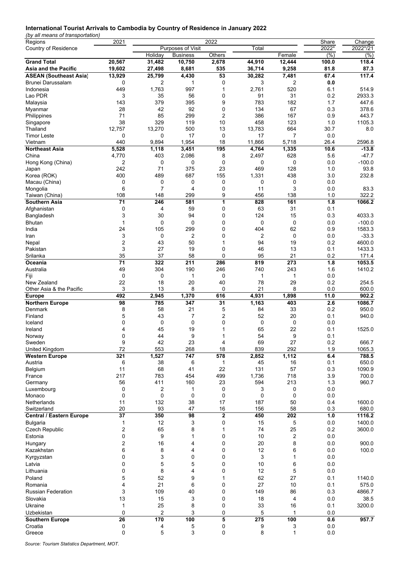#### **International Tourist Arrivals to Cambodia by Country of Residence in January 2022**

*(by all means of transportation)*

| Regions                         | 2021         |                |                   | 2022         |        |                | Share | Change   |
|---------------------------------|--------------|----------------|-------------------|--------------|--------|----------------|-------|----------|
| Country of Residence            |              |                | Purposes of Visit |              | Total  |                | 2022* | 2022*/21 |
|                                 |              | Holiday        | <b>Business</b>   | Others       |        | Female         | (% )  | (% )     |
| <b>Grand Total</b>              | 20,567       | 31,482         | 10,750            | 2,678        | 44,910 | 12,444         | 100.0 | 118.4    |
| Asia and the Pacific            | 19,602       | 27,498         | 8,681             | 535          | 36,714 | 9,258          | 81.8  | 87.3     |
| <b>ASEAN (Southeast Asia)</b>   | 13,929       | 25,799         | 4,430             | 53           | 30,282 | 7,481          | 67.4  | 117.4    |
|                                 |              |                |                   |              | 3      |                |       |          |
| Brunei Darussalam               | 0            | 2              | 1                 | 0            |        | 2              | 0.0   |          |
| Indonesia                       | 449          | 1,763          | 997               | 1            | 2,761  | 520            | 6.1   | 514.9    |
| Lao PDR                         | 3            | 35             | 56                | 0            | 91     | 31             | 0.2   | 2933.3   |
| Malaysia                        | 143          | 379            | 395               | 9            | 783    | 182            | 1.7   | 447.6    |
| Myanmar                         | 28           | 42             | 92                | 0            | 134    | 67             | 0.3   | 378.6    |
| Philippines                     | 71           | 85             | 299               | 2            | 386    | 167            | 0.9   | 443.7    |
| Singapore                       | 38           | 329            | 119               | 10           | 458    | 123            | 1.0   | 1105.3   |
| Thailand                        | 12,757       | 13,270         | 500               | 13           | 13.783 | 664            | 30.7  | 8.0      |
|                                 |              |                |                   |              |        |                |       |          |
| Timor Leste                     | 0            | 0              | 17                | 0            | 17     | 7              | 0.0   |          |
| Vietnam                         | 440          | 9,894          | 1,954             | 18           | 11,866 | 5,718          | 26.4  | 2596.8   |
| <b>Northeast Asia</b>           | 5,528        | 1,118          | 3,451             | 195          | 4,764  | 1,335          | 10.6  | $-13.8$  |
| China                           | 4,770        | 403            | 2,086             | 8            | 2,497  | 628            | 5.6   | $-47.7$  |
| Hong Kong (China)               | 2            | 0              | 0                 | 0            | 0      | 0              | 0.0   | $-100.0$ |
| Japan                           | 242          | 71             | 375               | 23           | 469    | 128            | 1.0   | 93.8     |
| Korea (ROK)                     | 400          | 489            | 687               | 155          | 1,331  | 438            | 3.0   | 232.8    |
| Macau (China)                   | 0            | $\mathbf 0$    | 0                 | 0            | 0      | 0              | 0.0   |          |
|                                 | 6            | 7              | 4                 | 0            | 11     | 3              | 0.0   |          |
| Mongolia                        |              |                |                   |              |        |                |       | 83.3     |
| Taiwan (China)                  | 108          | 148            | 299               | 9            | 456    | 138            | 1.0   | 322.2    |
| Southern Asia                   | 71           | 246            | 581               | 1            | 828    | 161            | 1.8   | 1066.2   |
| Afghanistan                     | 0            | 4              | 59                | 0            | 63     | 31             | 0.1   |          |
| Bangladesh                      | 3            | 30             | 94                | 0            | 124    | 15             | 0.3   | 4033.3   |
| <b>Bhutan</b>                   | 1            | $\mathbf 0$    | 0                 | 0            | 0      | $\mathbf 0$    | 0.0   | $-100.0$ |
| India                           | 24           | 105            | 299               | 0            | 404    | 62             | 0.9   | 1583.3   |
|                                 |              |                |                   |              |        |                |       |          |
| Iran                            | 3            | 0              | 2                 | 0            | 2      | 0              | 0.0   | $-33.3$  |
| Nepal                           | 2            | 43             | 50                | $\mathbf{1}$ | 94     | 19             | 0.2   | 4600.0   |
| Pakistan                        | 3            | 27             | 19                | 0            | 46     | 13             | 0.1   | 1433.3   |
| Srilanka                        | 35           | 37             | 58                | 0            | 95     | 21             | 0.2   | 171.4    |
| Oceania                         | 71           | 322            | 211               | 286          | 819    | 273            | 1.8   | 1053.5   |
| Australia                       | 49           | 304            | 190               | 246          | 740    | 243            | 1.6   | 1410.2   |
| Fiji                            | 0            | 0              | 1                 | 0            | 1      | 1              | 0.0   |          |
| New Zealand                     | 22           | 18             |                   | 40           | 78     | 29             | 0.2   | 254.5    |
|                                 |              |                | 20                |              |        |                |       |          |
| Other Asia & the Pacific        | 3            | 13             | 8                 | 0            | 21     | 8              | 0.0   | 600.0    |
| <b>Europe</b>                   | 492          | 2,945          | 1,370             | 616          | 4,931  | 1,898          | 11.0  | 902.2    |
| <b>Northern Europe</b>          | 98           | 785            | 347               | 31           | 1,163  | 403            | 2.6   | 1086.7   |
| Denmark                         | 8            | 58             | 21                | 5            | 84     | 33             | 0.2   | 950.0    |
| Finland                         | 5            | 43             | 7                 | 2            | 52     | 20             | 0.1   | 940.0    |
| Iceland                         | 0            | $\mathbf 0$    | 0                 | 0            | 0      | $\mathbf 0$    | 0.0   |          |
| Ireland                         | 4            | 45             | 19                | 1            | 65     | 22             | 0.1   | 1525.0   |
|                                 |              |                |                   |              |        |                |       |          |
| Norway                          | 0            | 44             | 9                 | 1            | 54     | 9              | 0.1   |          |
| Sweden                          | 9            | 42             | 23                | 4            | 69     | 27             | 0.2   | 666.7    |
| United Kingdom                  | 72           | 553            | 268               | 18           | 839    | 292            | 1.9   | 1065.3   |
| <b>Western Europe</b>           | 321          | 1,527          | 747               | 578          | 2,852  | 1,112          | 6.4   | 788.5    |
| Austria                         | 6            | 38             | 6                 | $\mathbf{1}$ | 45     | 16             | 0.1   | 650.0    |
| Belgium                         | 11           | 68             | 41                | 22           | 131    | 57             | 0.3   | 1090.9   |
| France                          | 217          | 783            | 454               | 499          | 1,736  | 718            | 3.9   | 700.0    |
|                                 | 56           | 411            | 160               | 23           | 594    | 213            | 1.3   | 960.7    |
| Germany                         |              |                |                   |              |        |                |       |          |
| Luxembourg                      | 0            | 2              | 1                 | 0            | 3      | 0              | 0.0   |          |
| Monaco                          | 0            | 0              | $\mathbf 0$       | 0            | 0      | $\mathbf 0$    | 0.0   |          |
| Netherlands                     | 11           | 132            | 38                | 17           | 187    | 50             | 0.4   | 1600.0   |
| Switzerland                     | 20           | 93             | 47                | 16           | 156    | 58             | 0.3   | 680.0    |
| <b>Central / Eastern Europe</b> | 37           | 350            | 98                | $\mathbf 2$  | 450    | 202            | 1.0   | 1116.2   |
| <b>Bulgaria</b>                 | 1            | 12             | 3                 | 0            | 15     | 5              | 0.0   | 1400.0   |
|                                 |              |                |                   |              |        |                |       |          |
| Czech Republic                  | 2            | 65             | 8                 | $\mathbf{1}$ | 74     | 25             | 0.2   | 3600.0   |
| Estonia                         | 0            | 9              | 1                 | 0            | 10     | $\overline{2}$ | 0.0   |          |
| Hungary                         | 2            | 16             | 4                 | 0            | 20     | 8              | 0.0   | 900.0    |
| Kazakhstan                      | 6            | 8              | 4                 | 0            | 12     | 6              | 0.0   | 100.0    |
| Kyrgyzstan                      | 0            | 3              | 0                 | 0            | 3      | 1              | 0.0   |          |
|                                 |              |                |                   |              | 10     |                |       |          |
| Latvia                          | 0            | 5              | 5                 | 0            |        | 6              | 0.0   |          |
| Lithuania                       | 0            | 8              | 4                 | 0            | 12     | 5              | 0.0   |          |
| Poland                          | 5            | 52             | 9                 | $\mathbf{1}$ | 62     | 27             | 0.1   | 1140.0   |
| Romania                         | 4            | 21             | 6                 | 0            | 27     | 10             | 0.1   | 575.0    |
| <b>Russian Federation</b>       | 3            | 109            | 40                | 0            | 149    | 86             | 0.3   | 4866.7   |
| Slovakia                        | 13           | 15             | 3                 | 0            | 18     | 4              | 0.0   | 38.5     |
|                                 |              |                |                   |              |        |                |       |          |
| Ukraine                         | $\mathbf{1}$ | 25             | 8                 | 0            | 33     | 16             | 0.1   | 3200.0   |
| Uzbekistan                      | 0            | $\overline{c}$ | 3                 | 0            | 5      | 1              | 0.0   |          |
| <b>Southern Europe</b>          | 26           | 170            | 100               | 5            | 275    | 100            | 0.6   | 957.7    |
| Croatia                         | 0            | 4              | 5                 | 0            | 9      | 3              | 0.0   |          |
| Greece                          | 0            | 5              | 3                 | 0            | 8      | 1              | 0.0   |          |

*Source: Tourism Statistics Department, MOT.*